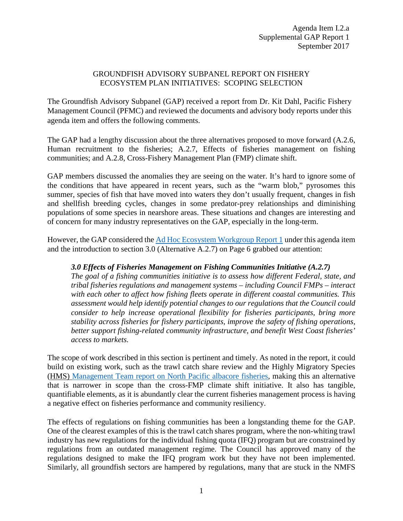## GROUNDFISH ADVISORY SUBPANEL REPORT ON FISHERY ECOSYSTEM PLAN INITIATIVES: SCOPING SELECTION

The Groundfish Advisory Subpanel (GAP) received a report from Dr. Kit Dahl, Pacific Fishery Management Council (PFMC) and reviewed the documents and advisory body reports under this agenda item and offers the following comments.

The GAP had a lengthy discussion about the three alternatives proposed to move forward (A.2.6, Human recruitment to the fisheries; A.2.7, Effects of fisheries management on fishing communities; and A.2.8, Cross-Fishery Management Plan (FMP) climate shift.

GAP members discussed the anomalies they are seeing on the water. It's hard to ignore some of the conditions that have appeared in recent years, such as the "warm blob," pyrosomes this summer, species of fish that have moved into waters they don't usually frequent, changes in fish and shellfish breeding cycles, changes in some predator-prey relationships and diminishing populations of some species in nearshore areas. These situations and changes are interesting and of concern for many industry representatives on the GAP, especially in the long-term.

However, the GAP considered the [Ad Hoc Ecosystem Workgroup Report 1](http://www.pcouncil.org/wp-content/uploads/2017/08/I2a_EWG_Rpt1_Initiatives_081517_SEPT2017BB.pdf) under this agenda item and the introduction to section 3.0 (Alternative A.2.7) on Page 6 grabbed our attention:

## *3.0 Effects of Fisheries Management on Fishing Communities Initiative (A.2.7)*

*The goal of a fishing communities initiative is to assess how different Federal, state, and tribal fisheries regulations and management systems – including Council FMPs – interact with each other to affect how fishing fleets operate in different coastal communities. This assessment would help identify potential changes to our regulations that the Council could consider to help increase operational flexibility for fisheries participants, bring more stability across fisheries for fishery participants, improve the safety of fishing operations, better support fishing-related community infrastructure, and benefit West Coast fisheries' access to markets.*

The scope of work described in this section is pertinent and timely. As noted in the report, it could build on existing work, such as the trawl catch share review and the Highly Migratory Species (HMS) [Management Team report on North Pacific albacore fisheries,](http://www.pcouncil.org/wp-content/uploads/H2b_HMSMT_APR2011BB.pdf) making this an alternative that is narrower in scope than the cross-FMP climate shift initiative. It also has tangible, quantifiable elements, as it is abundantly clear the current fisheries management process is having a negative effect on fisheries performance and community resiliency.

The effects of regulations on fishing communities has been a longstanding theme for the GAP. One of the clearest examples of this is the trawl catch shares program, where the non-whiting trawl industry has new regulations for the individual fishing quota (IFQ) program but are constrained by regulations from an outdated management regime. The Council has approved many of the regulations designed to make the IFQ program work but they have not been implemented. Similarly, all groundfish sectors are hampered by regulations, many that are stuck in the NMFS